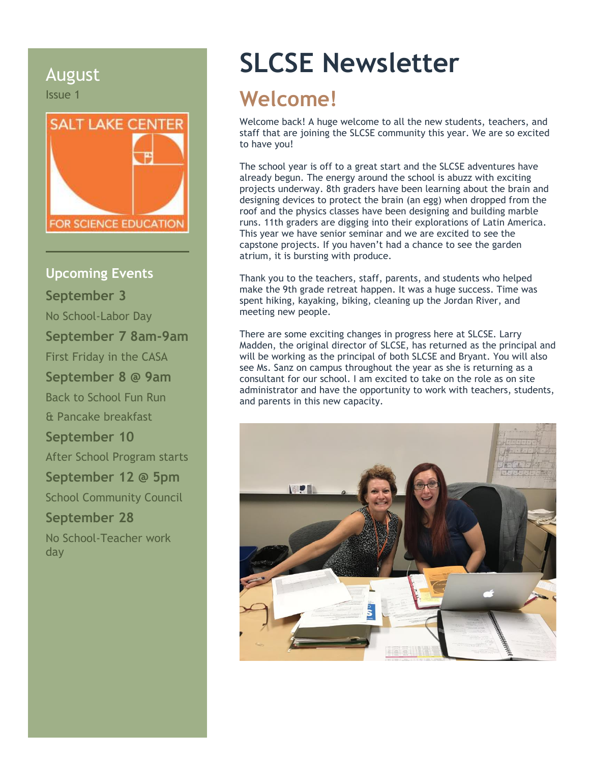August Issue 1



**Upcoming Events September 3** No School-Labor Day **September 7 8am-9am** First Friday in the CASA **September 8 @ 9am** Back to School Fun Run & Pancake breakfast **September 10** After School Program starts **September 12 @ 5pm** School Community Council **September 28** No School-Teacher work day

# **SLCSE Newsletter**

# **Welcome!**

Welcome back! A huge welcome to all the new students, teachers, and staff that are joining the SLCSE community this year. We are so excited to have you!

The school year is off to a great start and the SLCSE adventures have already begun. The energy around the school is abuzz with exciting projects underway. 8th graders have been learning about the brain and designing devices to protect the brain (an egg) when dropped from the roof and the physics classes have been designing and building marble runs. 11th graders are digging into their explorations of Latin America. This year we have senior seminar and we are excited to see the capstone projects. If you haven't had a chance to see the garden atrium, it is bursting with produce.

Thank you to the teachers, staff, parents, and students who helped make the 9th grade retreat happen. It was a huge success. Time was spent hiking, kayaking, biking, cleaning up the Jordan River, and meeting new people.

There are some exciting changes in progress here at SLCSE. Larry Madden, the original director of SLCSE, has returned as the principal and will be working as the principal of both SLCSE and Bryant. You will also see Ms. Sanz on campus throughout the year as she is returning as a consultant for our school. I am excited to take on the role as on site administrator and have the opportunity to work with teachers, students, and parents in this new capacity.

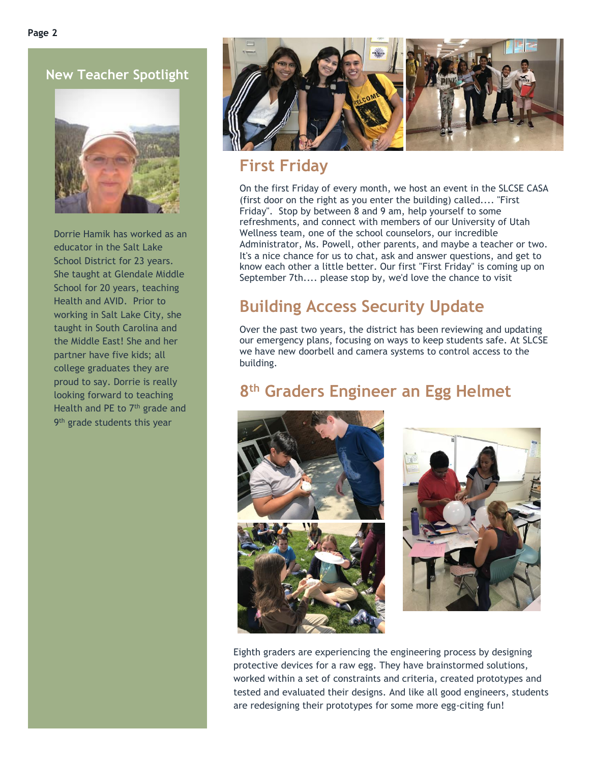**New Teacher Spotlight**



Dorrie Hamik has worked as an educator in the Salt Lake School District for 23 years. She taught at Glendale Middle School for 20 years, teaching Health and AVID. Prior to working in Salt Lake City, she taught in South Carolina and the Middle East! She and her partner have five kids; all college graduates they are proud to say. Dorrie is really looking forward to teaching Health and PE to 7<sup>th</sup> grade and 9<sup>th</sup> grade students this year



### **First Friday**

On the first Friday of every month, we host an event in the SLCSE CASA (first door on the right as you enter the building) called.... "First Friday". Stop by between 8 and 9 am, help yourself to some refreshments, and connect with members of our University of Utah Wellness team, one of the school counselors, our incredible Administrator, Ms. Powell, other parents, and maybe a teacher or two. It's a nice chance for us to chat, ask and answer questions, and get to know each other a little better. Our first "First Friday" is coming up on September 7th.... please stop by, we'd love the chance to visit

## **Building Access Security Update**

Over the past two years, the district has been reviewing and updating our emergency plans, focusing on ways to keep students safe. At SLCSE we have new doorbell and camera systems to control access to the building.

#### **8 th Graders Engineer an Egg Helmet**





Eighth graders are experiencing the engineering process by designing protective devices for a raw egg. They have brainstormed solutions, worked within a set of constraints and criteria, created prototypes and tested and evaluated their designs. And like all good engineers, students are redesigning their prototypes for some more egg-citing fun!